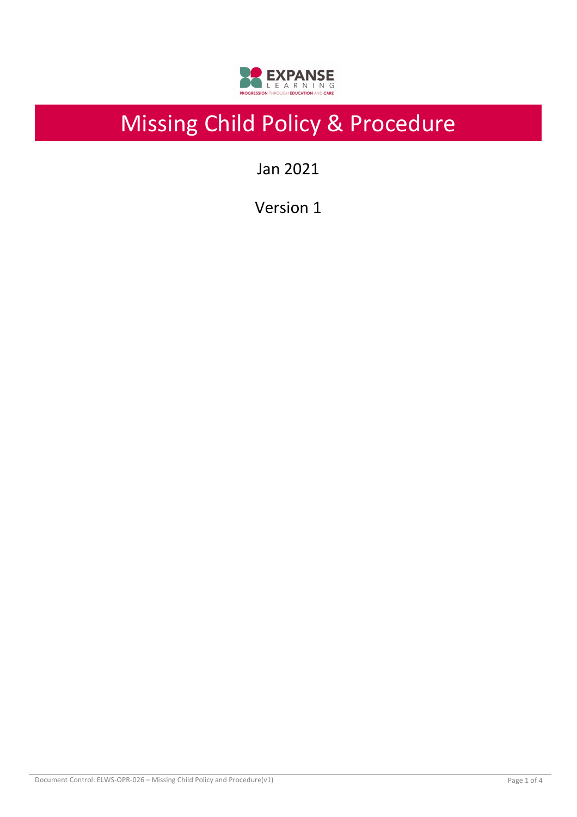

# Missing Child Policy & Procedure

Jan 2021

Version 1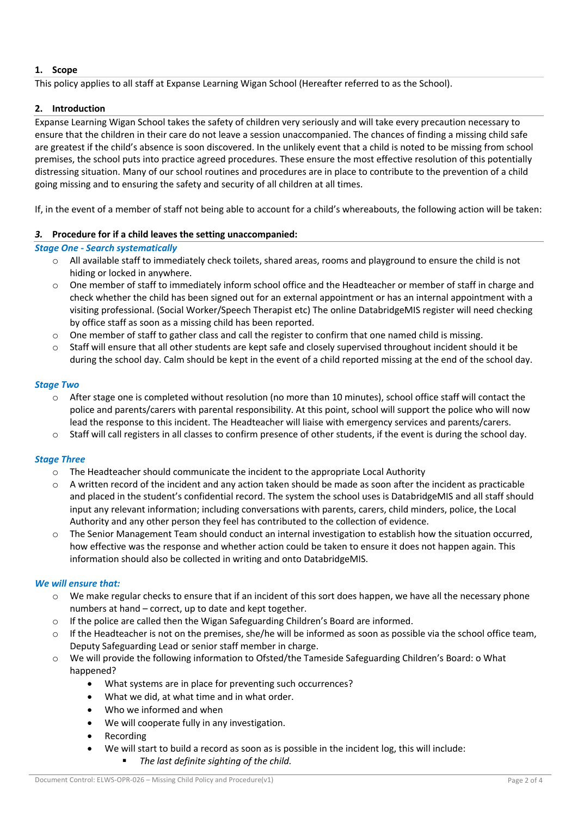# **1. Scope**

This policy applies to all staff at Expanse Learning Wigan School (Hereafter referred to as the School).

# **2. Introduction**

Expanse Learning Wigan School takes the safety of children very seriously and will take every precaution necessary to ensure that the children in their care do not leave a session unaccompanied. The chances of finding a missing child safe are greatest if the child's absence is soon discovered. In the unlikely event that a child is noted to be missing from school premises, the school puts into practice agreed procedures. These ensure the most effective resolution of this potentially distressing situation. Many of our school routines and procedures are in place to contribute to the prevention of a child going missing and to ensuring the safety and security of all children at all times.

If, in the event of a member of staff not being able to account for a child's whereabouts, the following action will be taken:

# *3.* **Procedure for if a child leaves the setting unaccompanied:**

## *Stage One - Search systematically*

- $\circ$  All available staff to immediately check toilets, shared areas, rooms and playground to ensure the child is not hiding or locked in anywhere.
- o One member of staff to immediately inform school office and the Headteacher or member of staff in charge and check whether the child has been signed out for an external appointment or has an internal appointment with a visiting professional. (Social Worker/Speech Therapist etc) The online DatabridgeMIS register will need checking by office staff as soon as a missing child has been reported.
- $\circ$  One member of staff to gather class and call the register to confirm that one named child is missing.
- $\circ$  Staff will ensure that all other students are kept safe and closely supervised throughout incident should it be during the school day. Calm should be kept in the event of a child reported missing at the end of the school day.

## *Stage Two*

- o After stage one is completed without resolution (no more than 10 minutes), school office staff will contact the police and parents/carers with parental responsibility. At this point, school will support the police who will now lead the response to this incident. The Headteacher will liaise with emergency services and parents/carers.
- Staff will call registers in all classes to confirm presence of other students, if the event is during the school day.

## *Stage Three*

- $\circ$  The Headteacher should communicate the incident to the appropriate Local Authority
- A written record of the incident and any action taken should be made as soon after the incident as practicable and placed in the student's confidential record. The system the school uses is DatabridgeMIS and all staff should input any relevant information; including conversations with parents, carers, child minders, police, the Local Authority and any other person they feel has contributed to the collection of evidence.
- o The Senior Management Team should conduct an internal investigation to establish how the situation occurred, how effective was the response and whether action could be taken to ensure it does not happen again. This information should also be collected in writing and onto DatabridgeMIS.

## *We will ensure that:*

- o We make regular checks to ensure that if an incident of this sort does happen, we have all the necessary phone numbers at hand – correct, up to date and kept together.
- o If the police are called then the Wigan Safeguarding Children's Board are informed.
- $\circ$  If the Headteacher is not on the premises, she/he will be informed as soon as possible via the school office team, Deputy Safeguarding Lead or senior staff member in charge.
- We will provide the following information to Ofsted/the Tameside Safeguarding Children's Board: o What happened?
	- What systems are in place for preventing such occurrences?
	- What we did, at what time and in what order.
	- Who we informed and when
	- We will cooperate fully in any investigation.
	- Recording
		- We will start to build a record as soon as is possible in the incident log, this will include:
			- § *The last definite sighting of the child.*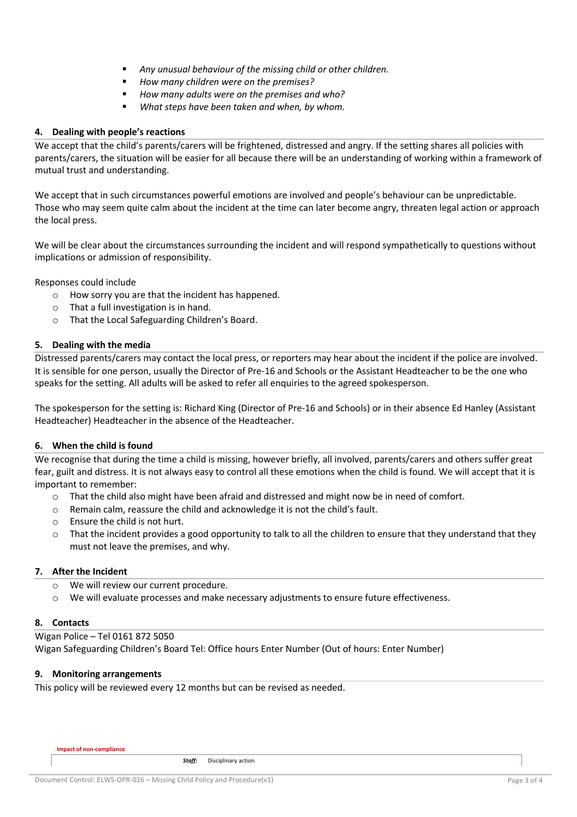- § *Any unusual behaviour of the missing child or other children.*
- § *How many children were on the premises?*
- § *How many adults were on the premises and who?*
- § *What steps have been taken and when, by whom.*

## **4. Dealing with people's reactions**

We accept that the child's parents/carers will be frightened, distressed and angry. If the setting shares all policies with parents/carers, the situation will be easier for all because there will be an understanding of working within a framework of mutual trust and understanding.

We accept that in such circumstances powerful emotions are involved and people's behaviour can be unpredictable. Those who may seem quite calm about the incident at the time can later become angry, threaten legal action or approach the local press.

We will be clear about the circumstances surrounding the incident and will respond sympathetically to questions without implications or admission of responsibility.

Responses could include

- o How sorry you are that the incident has happened.
- o That a full investigation is in hand.
- o That the Local Safeguarding Children's Board.

## **5. Dealing with the media**

Distressed parents/carers may contact the local press, or reporters may hear about the incident if the police are involved. It is sensible for one person, usually the Director of Pre-16 and Schools or the Assistant Headteacher to be the one who speaks for the setting. All adults will be asked to refer all enquiries to the agreed spokesperson.

The spokesperson for the setting is: Richard King (Director of Pre-16 and Schools) or in their absence Ed Hanley (Assistant Headteacher) Headteacher in the absence of the Headteacher.

## **6. When the child is found**

We recognise that during the time a child is missing, however briefly, all involved, parents/carers and others suffer great fear, guilt and distress. It is not always easy to control all these emotions when the child is found. We will accept that it is important to remember:

- o That the child also might have been afraid and distressed and might now be in need of comfort.
- o Remain calm, reassure the child and acknowledge it is not the child's fault.
- o Ensure the child is not hurt.
- $\circ$  That the incident provides a good opportunity to talk to all the children to ensure that they understand that they must not leave the premises, and why.

#### **7. After the Incident**

- o We will review our current procedure.
- o We will evaluate processes and make necessary adjustments to ensure future effectiveness.

#### **8. Contacts**

Wigan Police – Tel 0161 872 5050 Wigan Safeguarding Children's Board Tel: Office hours Enter Number (Out of hours: Enter Number)

#### **9. Monitoring arrangements**

This policy will be reviewed every 12 months but can be revised as needed.

*Staff:* Disciplinary action